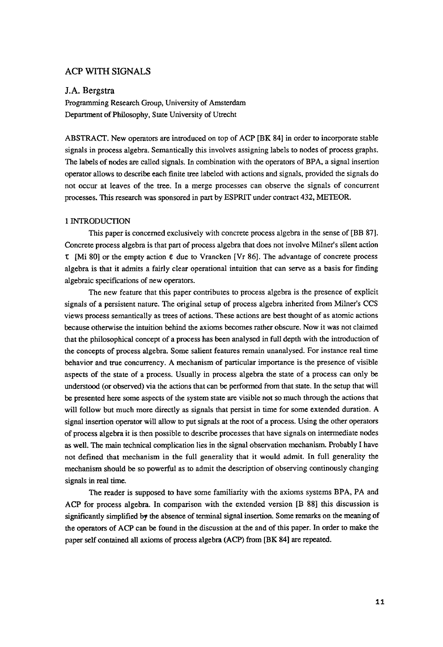# ACP WITH SIGNALS

## **J.A.** Bergstra

Programming Research Group, University of Amsterdam Department of Philosophy, State University of Utrecht

ABSTRACT. New operators are introduced on top of ACP [BK 84] in order to incorporate stable signals in process algebra. Semantically this involves assigning labels to nodes of process graphs. The labels of nodes are called signals. In combination with the operators of BPA, a signal insertion operator allows to describe each finite tree labeled with actions and signals, provided the signals do not occur at leaves of the tree. In a merge processes can observe the signals of concurrent processes. This research was sponsored in part by ESPRIT under contract 432, METEOR.

### 1 INTRODUCTION

This paper is concerned exclusively with concrete process algebra in the sense of [BB 87]. Concrete process algebra is that part of process algebra that does not involve Milner's silent action  $I$  [Mi 80] or the empty action  $\epsilon$  due to Vrancken [Vr 86]. The advantage of concrete process algebra is that it admits a fairly clear operational intuition that can serve as a basis for finding algebraic specifications of new operators.

The new feature that this paper contributes to process algebra is the presence of explicit signals of a persistent nature. The original setup of process algebra inherited from Milner's CCS views process semantically as trees of actions. These actions are best thought of as atomic actions because otherwise the intuition behind the axioms becomes rather obscure. Now it was not claimed that the philosophical concept of a process has been analysed in full depth with the introduction of the concepts of process algebra. Some salient features remain unanalysed. For instance real time behavior and true concurrency. A mechanism of particular importance is the presence of visible aspects of the state of a process. Usually in process algebra the state of a process can only be understood (or observed) via the actions that can be performed from that state. In the setup that will be presented here some aspects of the system state are visible not so much through the actions that will follow but much more directly as signals that persist in time for some extended duration. A signal insertion operator will allow to put signals at the root of a process. Using the other operators of process algebra it is then possible to describe processes that have signals on intermediate nodes as well, The main technical complication lies in the signal observation mechanism. Probably I have not defined that mechanism in the full generality that it would admit. In full generality the mechanism should be so powerful as to admit the description of observing continously changing signals in real time.

The reader is supposed to have some familiarity with the axioms systems BPA, PA and ACP for process algebra. In comparison with the extended version [B 88] this discussion is significantly simplified by the absence of terminal signal insertion. Some remarks on the meaning of the operators of ACP can be found in the discussion at the and of this paper. In order to make the paper self contained all axioms of process algebra (ACP) from [BK 84] are repeated.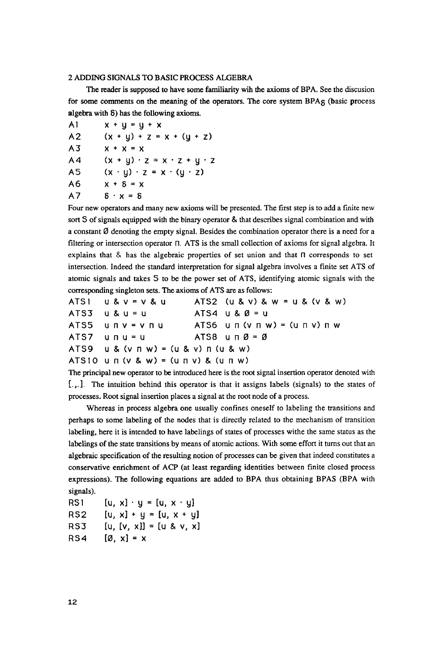# 2 ADDING SIGNALS TO BASIC PROCESS ALGEBRA

The reader is supposed to have some familiarity wih the axioms of BPA. See the discusion for some comments on the meaning of the operators. The core system  $BPA<sub>5</sub>$  (basic process algebra with  $\delta$ ) has the following axioms.

A1  $x + y = y + x$ A2  $(x + y) + z = x + (y + z)$  $A3$   $x + x = x$ A4  $(x + y) \cdot z = x \cdot z + y \cdot z$ A5  $(x \cdot y) \cdot z = x \cdot (y \cdot z)$  $A6$   $X + 8 = X$  $A7$   $8 \cdot x = 8$ 

Four new operators and many new axioms will be presented. The first step is to add a finite new sort S of signals equipped with the binary operator & that describes signal combination and with a constant  $\emptyset$  denoting the empty signal. Besides the combination operator there is a need for a filtering or intersection operator  $\Pi$ . ATS is the small collection of axioms for signal algebra. It explains that  $\&$  has the algebraic properties of set union and that  $\Pi$  corresponds to set intersection. Indeed the standard interpretation for signal algebra involves a finite set ATS of atomic signals and takes S to be the power set of ATS, identifying atomic signals with the corresponding singleton sets. The axioms of ATS are as follows:

| $ATS1$ $U & V = V & U$                           | ATS2 $(u & v) & w = u & (v & w)$                                                           |
|--------------------------------------------------|--------------------------------------------------------------------------------------------|
| $ATS3$ $U8U = U$                                 | $ATS4$ u & $\emptyset$ = u                                                                 |
| ATS5 unv=vnu                                     | $ATS6$ $\cup$ $\sqcap$ $(\vee$ $\sqcap$ $\vee)$ = $(\cup$ $\sqcap$ $\vee)$ $\sqcap$ $\vee$ |
| ATS7 unu=u                                       | ATS8 unØ=Ø                                                                                 |
| $ATS9$ u & $(v \cap w) = (u \& v) \cap (u \& w)$ |                                                                                            |
| $ATS10$ u n (v & w) = (u n v) & (u n w)          |                                                                                            |

The principal new operator to be introduced here is the root signal insertion operator denoted with [.,.], The intuition behind this operator is that it assigns labels (signals) to the states of processes. Root signal insertion places a signal at the root node of a process.

Whereas in process algebra one usually confines oneself to labeling the transitions and perhaps to some labeling of the nodes that is directly related to the mechanism of transition labeling, here it is intended to have labelings of states of processes withe the same status as the labelings of the state transitions by means of atomic actions. With some effort it turns out that an algebraic specification of the resulting notion of processes can be given that indeed constitutes a conservative enrichment of ACP (at least regarding identities between finite closed process expressions). The following equations are added to BPA thus obtaining BPAS (BPA with signals).

RS1 [u, x]  $\cdot$  y = [u, x  $\cdot$  y] RS2  $[u, x] + y = [u, x + y]$ RS3  $[u, [v, x]] = [u & v, x]$ RS4  $[\emptyset, x] = x$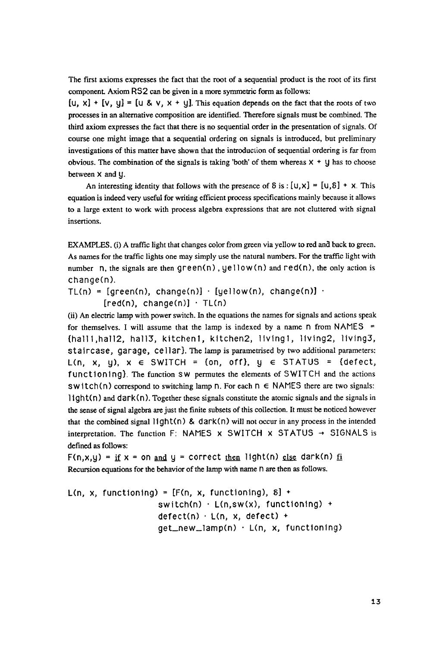The first axioms expresses the fact that the root of a sequential product is the root of its first component. Axiom RS2 can be given in a more symmetric form as follows:

 $[U, x] + [V, y] = [U & V, x + y]$ . This equation depends on the fact that the roots of two processes in an alternative composition are identified. Therefore signals must be combined. The third axiom expresses the fact that there is no sequential order in the presentation of signals. Of course one might image that a sequential ordering on signals is introduced, but preliminary investigations of this matter have shown that the introduction of sequential ordering is far from obvious. The combination of the signals is taking 'both' of them whereas  $X + y$  has to choose between X and Y.

An interesting identity that follows with the presence of  $\delta$  is :  $[U, X] = [U, \delta] + X$ . This equation is indeed very useful for writing efficient process specifications mainly because it allows to a large extent to work with process algebra expressions that are not cluttered with signal insertions.

EXAMPLES. (i) A traffic light that changes color from green via yellow to red and back to green. As names for the traffic lights one may simply use the natural numbers. For the traffic light with number n, the signals are then  $green(n)$ ,  $yellow(n)$  and  $red(n)$ , the only action is change(n).

TL(n) = [green(n), change(n)]  $\cdot$  [yellow(n), change(n)]  $\cdot$  $[red(n), change(n)] \cdot TL(n)$ 

(ii) An electric lamp with power switch. In the equations the names for signals and actions speak for themselves. I will assume that the lamp is indexed by a name  $n$  from NAMES = {halll,hall2, hall3, kitchenl, kitchen2, livingl, livlng2, llvlng3, staircase, garage, cellar}. The lamp is parametrised by two additional parameters: L(n, x, y),  $x \in SWITCH = \{on, off\}$ ,  $y \in STATUS = \{defect,$ functioning}. The function SW permutes the elements of SWITCH and the actions  $\text{switch}(n)$  correspond to switching lamp n. For each  $n \in \text{NAMES}$  there are two signals:  $1$ ight(n) and dark(n). Together these signals constitute the atomic signals and the signals in the sense of signal algebra are just the finite subsets of this collection. It must be noticed however that the combined signal light(n) & dark(n) will not occur in any process in the intended interpretation. The function F: NAMES  $x$  SWITCH  $x$  STATUS  $\rightarrow$  SIGNALS is defined as follows:

F(n,x,y) = if x = on <u>and</u> y = correct <u>then</u> light(n) <u>else</u> dark(n) <u>fi</u> Recursion equations for the behavior of the lamp with name n are then as follows.

L(n, x, functioning) =  $[F(n, x, functioning), \delta]$  + switch(n) • L(n,sw(x), functioning) +  $defect(n) \cdot L(n, x, defect) +$ get\_new\_lamp(n) - L(n, x, functioning)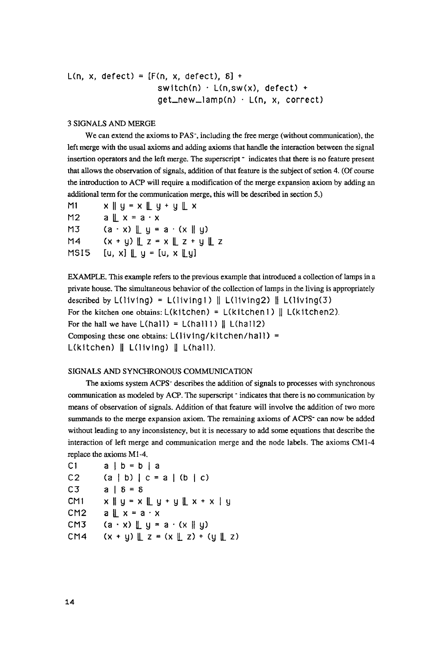```
L(n, x, defect) = [F(n, x, \text{defect}), 8] +
                      switch(n) \cdot L(n,sw(x), defect) +
                      get_new_lamp(n) • L(n, x, correct)
```
# 3 SIGNALS AND MERGE

We can extend the axioms to PAS-, including the free merge (without communication), the left merge with the usual axioms and adding axioms that handle the interaction between the signal insertion operators and the left merge. The superscript - indicates that there is no feature present that allows the observation of signals, addition of that feature is the subject of sction 4. (Of course the introduction to ACP will require a modification of the merge expansion axiom by adding an additional term for the communication merge, this will be described in section 5.)

| M1   | $x \parallel y = x \parallel y + y \parallel x$     |
|------|-----------------------------------------------------|
| M2   | $a \parallel x = a \cdot x$                         |
| M3   | $(a \cdot x) \parallel y = a \cdot (x \parallel y)$ |
| M4   | $(x + y) \perp z = x \perp z + y \perp z$           |
| MSI5 | [u, x] $\mathbb{L}$ y = [u, x $\mathbb{L}$ y]       |

EXAMPLE. This example refers to the previous example that introduced a collection of lamps in a private house. The simultaneous behavior of the collection of lamps in the living is appropriately described by  $L(living) = L(living1) \parallel L(living2) \parallel L(living(3)$ For the kitchen one obtains:  $L($ kitchen) =  $L($ kitchen1) ||  $L($ kitchen2). For the hall we have  $L(hall) = L(hall1) \parallel L(hall2)$ Composing these one obtains:  $L($ living/kitchen/hall) =  $L(kitchen) \parallel L(living) \parallel L(hall).$ 

## SIGNALS AND SYNCHRONOUS COMMUNICATION

The axioms system ACPS- describes the addition of signals to processes with synchronous communication as modeled by ACP. The superscript  $\cdot$  indicates that there is no communication by means of observation of signals. Addition of that feature will involve the addition of two more summands to the merge expansion axiom. The remaining axioms of ACPS<sup>-</sup> can now be added without leading to any inconsistency, but it is necessary to add some equations that describe the interaction of left merge and communication merge and the node labels. The axioms CM1-4 replace the axioms M1-4.

| C1  | $a \mid b = b \mid a$                                           |
|-----|-----------------------------------------------------------------|
| C2  | $(a   b)   c = a   (b   c)$                                     |
| C3  | $a \mid \delta = \delta$                                        |
| CM1 | $x \parallel y = x \parallel y + y \parallel x + x \parallel y$ |
| CM2 | $a \parallel x = a \cdot x$                                     |
| смз | $(a \cdot x) \parallel y = a \cdot (x \parallel y)$             |
| CM4 | $(x + y) \perp z = (x \perp z) + (y \perp z)$                   |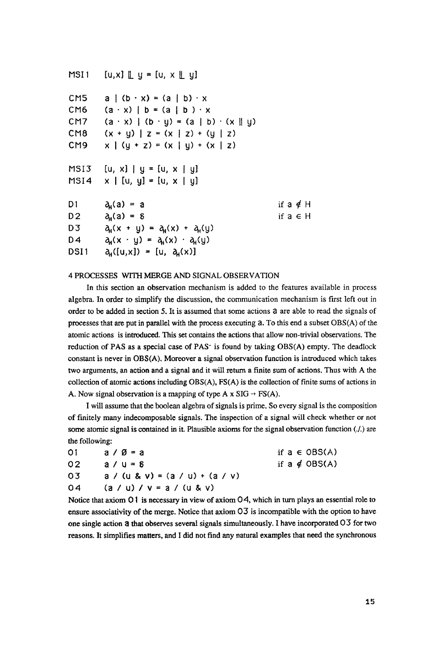| MSI 1           | $[u, x]$ $[$ $[$ $]$ $[$ $]$ $[$ $[$ $]$ $[$ $[$ $]$ $[$ $[$ $]$ $[$ $[$ $]$ $[$ $[$ $]$ $[$ $[$ $]$ $[$ $[$ $]$ $[$ $[$ $]$ $[$ $[$ $]$ $[$ $[$ $]$ $[$ $[$ $]$ $[$ $[$ $]$ $[$ $[$ $]$ $[$ $[$ $]$ $[$ $[$ $]$ $[$ $[$ $]$ $[$ |                 |
|-----------------|----------------------------------------------------------------------------------------------------------------------------------------------------------------------------------------------------------------------------------|-----------------|
| CM <sub>5</sub> | $a \mid (b \cdot x) = (a \mid b) \cdot x$                                                                                                                                                                                        |                 |
| CM <sub>6</sub> | $(a \cdot x)$   b = $(a \mid b) \cdot x$                                                                                                                                                                                         |                 |
| CM7             | $(a \cdot x) (b \cdot y) = (a \mid b) \cdot (x \mid y)$                                                                                                                                                                          |                 |
| CM8             | $(x + y)$   z = $(x   z) + (y   z)$                                                                                                                                                                                              |                 |
| CM9             | $x \mid (y + z) = (x \mid y) + (x \mid z)$                                                                                                                                                                                       |                 |
| MSI3            | [u, x]   y = [u, x   y]                                                                                                                                                                                                          |                 |
| MSI4            | $x \mid [u, y] = [u, x \mid y]$                                                                                                                                                                                                  |                 |
| D1              | $\partial_{\mu}(a) = a$                                                                                                                                                                                                          | if a $\notin$ H |
| D2              | $\partial_{\mu}(a) = \delta$                                                                                                                                                                                                     | if $a \in H$    |
| D3              | $\partial_H(x + y) = \partial_H(x) + \partial_H(y)$                                                                                                                                                                              |                 |
| D4              | $\partial_H(x + y) = \partial_H(x) + \partial_H(y)$                                                                                                                                                                              |                 |
| DSI 1           | $a_n([u,x]) = [u, a_n(x)]$                                                                                                                                                                                                       |                 |

#### 4 PROCESSES WITH MERGE AND SIGNAL OBSERVATION

In this section an observation mechanism is added to the features available in process algebra. In order to simplify the discussion, the communication mechanism is first left out in order to be added in section 5. It is assumed that some actions a are able to read the signals of processes that are put in parallel with the process executing a. To this end a subset OBS(A) of the atomic actions is introduced. This set contains the actions that allow non-trivial observations. The reduction of PAS as a special case of PAS- is found by taking OBS(A) empty. The deadlock constant is never in OBS(A). Moreover a signal observation function is introduced which takes two arguments, an action and a signal and it will return a finite sum of actions. Thus with A the collection of atomic actions including OBS(A), FS(A) is the collection of finite sums of actions in A. Now signal observation is a mapping of type A x  $SIG \rightarrow FS(A)$ .

I will assume that the boolean algebra of signals is prime. So every signal is the composition of finitely many indecomposable signals. The inspection of a signal will check whether or not some atomic signal is contained in it. Plausible axioms for the signal observation function (./.) are the following:

| 01 | $a \vee \emptyset = a$            | if $a \in \text{OBS}(A)$ |
|----|-----------------------------------|--------------------------|
| 02 | $a / u = 5$                       | if $a \notin OBS(A)$     |
| 03 | $a / (u & v) = (a / u) + (a / v)$ |                          |
| 04 | $(a / u) / v = a / (u & v)$       |                          |

Notice that axiom 01 is necessary in view of axiom 04, which in turn plays an essential role to ensure associativity of the merge. Notice that axiom 03 is incompatible with the option to have one single action a that observes several signals simultaneously. I have incorporated 03 for two reasons. It simplifies matters, and I did not find any natural examples that need the synchronous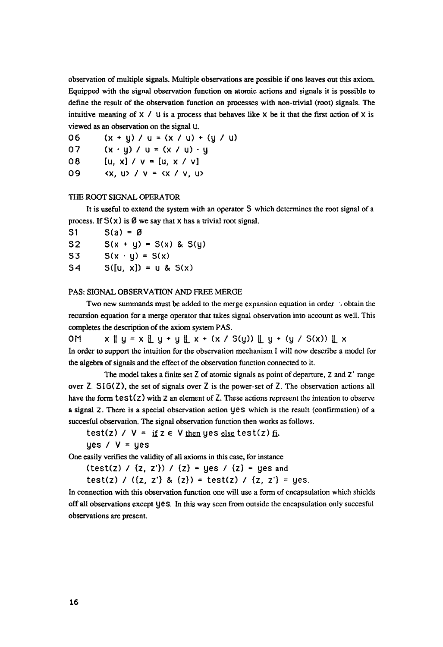observation of multiple signals. Multiple observations are possible if one leaves out this axiom. Equipped with the signal observation function on atomic actions and signals it is possible to define the result of the observation function on processes with non-trivial (root) signals. The intuitive meaning of  $\times$  / U is a process that behaves like  $\times$  be it that the first action of  $\times$  is viewed as an observation on the signal U.

06  $(x + y) / u = (x / u) + (y / u)$ 

07  $(x \cdot y) / u = (x / u) \cdot y$ 

08 [u, x] / v = [u, x / v]

og <x, u> / v = <x / v, u>

# THE ROOT SIGNAL OPERATOR

It is useful to extend the system with an operator S which determines the root signal of a process. If  $S(x)$  is  $\emptyset$  we say that X has a trivial root signal.

| S1             | $S(a) = \emptyset$         |
|----------------|----------------------------|
| S <sub>2</sub> | $S(x + y) = S(x)$ & $S(y)$ |
| S3             | $S(x \cdot y) = S(x)$      |
| S <sub>4</sub> | $S([u, x]) = u & S(x)$     |

### PAS: SIGNAL OBSERVATION AND FREE MERGE

Two new summands must be added to the merge expansion equation in order  $\therefore$  obtain the recursion equation for a merge operator that takes signal observation into account as well. This completes the description of the axiom system PAS.

 $OM \times \text{I} \cup \text{I} \times \text{I} \cup \text{I} \times \text{I} \times \text{I} \times \text{I} \times \text{I} \times \text{I} \times \text{I} \times \text{I} \times \text{I} \times \text{I} \times \text{I} \times \text{I} \times \text{I} \times \text{I} \times \text{I} \times \text{I} \times \text{I} \times \text{I} \times \text{I} \times \text{I} \times \text{I} \times \text{I} \times \text{I} \times \text{I} \times \text{I} \times \text{I} \times \text{I} \times \text{I} \times$ In order to support the intuition for the observation mechanism I will now describe a model for the algebra of signals and the effect of the observation function connected to it.

The model takes a finite set Z of atomic signals as point of departure, Z and Z' range over  $\overline{z}$ . SIG( $\overline{z}$ ), the set of signals over  $\overline{z}$  is the power-set of  $\overline{z}$ . The observation actions all have the form  $test(z)$  with  $z$  an element of  $Z$ . These actions represent the intention to observe a signal Z. There is a special observation action yes which is the result (confirmation) of a succesful observation. The signal observation function then works as follows.

test(z) /  $V = if z \in V$  then yes else test(z) fi.

yes  $/ V = y$ es

One easily verifies the validity of all axioms in this case, for instance

(test(z) / {z, z'}) / {z} = yes / {z} = yes and

test(z) / ( $\{z, z'\}$  &  $\{z\}$ ) = test(z) /  $\{z, z'\}$  = yes.

In connection with this observation function one will use a form of encapsulation which shields offall observations except yes, In this way seen from outside the encapsulation only succesful observations are present.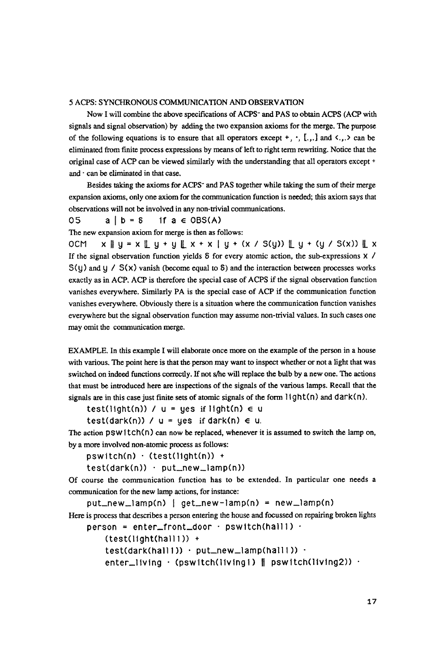## 5 ACPS: SYNCHRONOUS COMMUNICATION AND OBSERVATION

Now I will combine the above specifications of ACPS- and PAS to obtain ACPS (ACP with signals and signal observation) by adding the two expansion axioms for the merge. The purpose of the following equations is to ensure that all operators except  $+$ ,  $\cdot$ ,  $[.,.]$  and  $\langle .,.\rangle$  can be eliminated from finite process expressions by means of left to right term rewriting. Notice that the original case of ACP can be viewed similarly with the understanding that all operators except + and  $\cdot$  can be eliminated in that case.

Besides taking the axioms for ACPS" and PAS together while taking the sum of their merge expansion axioms, only one axiom for the communication function is needed; this axiom says that observations will not be involved in any non-trivial communications.

 $05 \qquad a \mid b = 8 \qquad \text{if } a \in \text{OBS}(A)$ 

The new expansion axiom for merge is then as follows:

0CM  $x \parallel y = x \perp y + y \perp x + x \mid y + (x / S(y)) \perp y + (y / S(x)) \perp x$ If the signal observation function yields  $\delta$  for every atomic action, the sub-expressions  $\times$  /  $S(y)$  and y /  $S(x)$  vanish (become equal to  $\delta$ ) and the interaction between processes works exactly as in ACP. ACP is therefore the special case of ACPS if the signal observation function vanishes everywhere. Similarly PA is the special case of ACP if the communication function vanishes everywhere. Obviously there is a situation where the communication function vanishes everywhere but the signal observation function may assume non-trivial values. In such cases one may omit the communication merge.

EXAMPLE. In this example I will elaborate once more on the example of the person in a house with various. The point here is that the person may want to inspect whether or not a light that was switched on indeed functions correctly. If not s/he will replace the bulb by a new one. The actions that must be introduced here are inspections of the signals of the various lamps. Recall that the signals are in this case just finite sets of atomic signals of the form  $l$  ight(n) and dark(n).

test(light(n)) /  $u = yes$  if light(n)  $\in u$ 

test(dark(n)) /  $u = yes$  if dark(n)  $\in u$ .

The action  $psW1tch(n)$  can now be replaced, whenever it is assumed to switch the lamp on, by a more involved non-atomic process as follows:

pswitch(n) • (test(light(n)) +

test(dark(n)) • put\_new\_lamp(n))

Of course the communication function has to be extended. In particular one needs a communication for the new lamp actions, for instance:

put\_new\_lamp(n) I get\_new-lamp(n) = new\_lamp(n) Here is process that describes a person entering the house and focussed on repairing broken lights  $person = enter\_front\_door + pswitch(hall1)$ .

(test(llght(halll)) +  $test(dark(hail1)) \cdot put_new_lamp(hail1)) \cdot$ 

enter\_living  $\cdot$  (pswitch(livingl) || pswitch(living2))  $\cdot$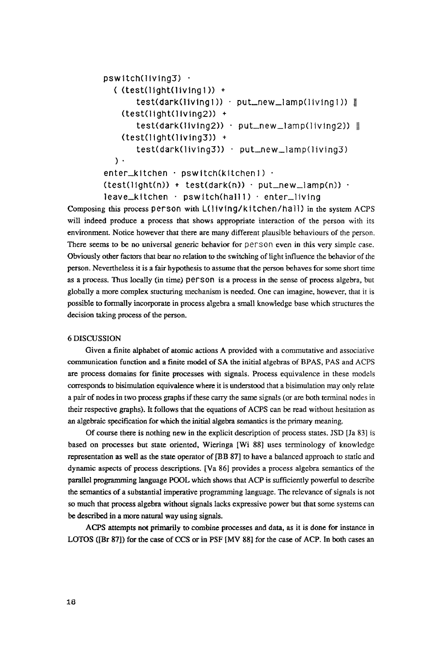```
pswitch(living3) ·
  ((test(light(livingl)) + 
       test(dark(living1)) · put_new_lamp(living1)) ||
   (test(licht(livina2)) +test(dark(Iiving2)) · put_new_lamp(living2)) ||
   (test(light(lying 3)) +test(dark(living3)) • 
put_new_tamp(living3) 
  )- 
enter_kitchen • pswitch(kitchenl) • 
(test(lighth)) + test(dark(n)) - put_new_lamp(n)) -leave_kitchen • pswitch(halll) . enter_living
```
Composing this process person with *I\_(living/kitchenlhatl)* in the system ACPS will indeed produce a process that shows appropriate interaction of the person with its environment. Notice however that there are many different plausible behaviours of the person. There seems to be no universal generic behavior for person even in this very simple case. Obviously other factors that bear no relation to the switching of light influence the behavior of the person, Nevertheless it is a fair hypothesis to assume that the person behaves for some short time as a process. Thus locally (in time) person is a process in the sense of process algebra, but globally a more complex stucturing mechanism is needed. One can imagine, however, that it is possible to formally incorporate in process algebra a small knowledge base which structures the decision taking process of the person.

## 6 DISCUSSION

Given a finite alphabet of atomic actions A provided with a commutative and associative communication function and a finite model of SA the initial algebras of BPAS, PAS and ACPS are process domains for finite processes with signals. Process equivalence in these models corresponds to bisimulation equivalence where it is understood that a bisimulation may only relate a pair of nodes in two process graphs if these carry the same signals (or are both terminal nodes in their respective graphs). It follows that the equations of ACPS can be read without hesitation as an algebraic specification for which the initial algebra semantics is the primary meaning.

Of course there is nothing new in the explicit description of process states, JSD  $[Ja 83]$  is based on processes but state oriented, Wieringa [Wi 88] uses terminology of knowledge representation as well as the state operator of[BB 87] to have a balanced approach to static and dynamic aspects of process descriptions. [Va 86] provides a process algebra semantics of the parallel programming language POOL which shows that ACP is sufficiently powerful to describe the semantics of a substantial imperative programming language. The relevance of signals is not so much that process algebra without signals lacks expressive power but that some systems can be described in a more natural way using signals.

ACPS attempts not primarily to combine processes and data, as it is done for instance in LOTOS ([Br 87]) for the case of CCS or in PSF [MV 88] for the case of ACP. In both cases an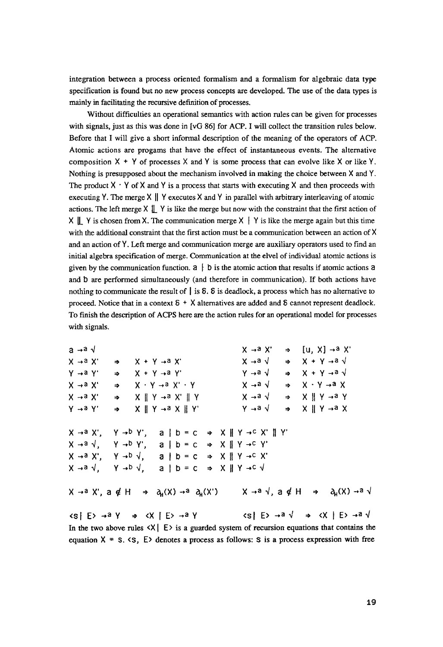integration between a process oriented formalism and a formalism for algebraic data type specification is found but no new process concepts are developed. The use of the data types is mainly in facilitating the recursive def'mition of processes.

Without difficulties an operational semantics with action rules can be given for processes with signals, just as this was done in [vG 86] for ACP. I will collect the transition rules below. Before that I will give a short informal description of the meaning of the operators of ACP. Atomic actions are progams that have the effect of instantaneous events. The alternative composition  $X + Y$  of processes X and Y is some process that can evolve like X or like Y. Nothing is presupposed about the mechanism involved in making the choice between X and Y. The product  $X \cdot Y$  of X and Y is a process that starts with executing X and then proceeds with executing Y. The merge  $X \parallel Y$  executes X and Y in parallel with arbitrary interleaving of atomic actions. The left merge  $X \parallel Y$  is like the merge but now with the constraint that the first action of  $X \parallel Y$  is chosen from X. The communication merge  $X \parallel Y$  is like the merge again but this time with the additional constraint that the first action must be a communication between an action of X and an action of Y. Left merge and communication merge are auxiliary operators used to find an initial algebra specification of merge. Communication at the elvel of individual atomic actions is given by the communication function,  $a \mid b$  is the atomic action that results if atomic actions a and b are performed simultaneously (and therefore in communication). If both actions have nothing to communicate the result of  $\parallel$  is  $\delta$ .  $\delta$  is deadlock, a process which has no alternative to proceed. Notice that in a context  $\delta$  + X alternatives are added and  $\delta$  cannot represent deadlock. To finish the description of ACPS here are the action rules for an operational model for processes with signals.

a  $\rightarrow$ a  $\sqrt{ }$   $\rightarrow$  a  $\sqrt{ }$   $\rightarrow$   $\boxed{u, X}$   $\rightarrow$  a  $\sqrt{ }$  $X \rightarrow a X' \Rightarrow X + Y \rightarrow a X'$   $X \rightarrow a \lor \Rightarrow X + Y \rightarrow a \lor$  $\gamma \rightarrow a \gamma' \rightarrow X + Y \rightarrow a \gamma'$  y-a $\sqrt{2} \rightarrow X + Y \rightarrow a \sqrt{2}$  $X \rightarrow a X' \Rightarrow X \cdot Y \rightarrow a X' \cdot Y$   $X \rightarrow a \sqrt{2} \Rightarrow X \cdot Y \rightarrow a X'$  $X \rightarrow a X' \rightarrow X \parallel Y \rightarrow a X' \parallel Y$   $X \rightarrow a \lor \rightarrow X \parallel Y \rightarrow a Y$  $Y \rightarrow a \ Y' \rightarrow X \parallel Y \rightarrow a \ X \parallel Y'$   $Y \rightarrow a \ \lor \rightarrow X \parallel Y \rightarrow a \ X$  $X \rightarrow a X'$ ,  $Y \rightarrow b Y'$ ,  $a \mid b = c \Rightarrow X \parallel Y \rightarrow c X' \parallel Y'$  $X \rightarrow a \sqrt{y}$   $Y \rightarrow b Y'$ ,  $a \mid b = c \Rightarrow X \parallel Y \rightarrow c Y'$  $X \rightarrow a X', Y \rightarrow b \sqrt{2}$ ,  $a \mid b = c \Rightarrow X \mid Y \rightarrow c X'$  $X \rightarrow a \sqrt{y}$   $Y \rightarrow b \sqrt{z}$  alb=c  $\Rightarrow$   $X \parallel Y \rightarrow C \sqrt{z}$  $X \rightarrow a X'$ ,  $a \notin H \Rightarrow a_H(X) \rightarrow a A_H(X')$   $X \rightarrow a \forall$ ,  $a \notin H \Rightarrow a_H(X) \rightarrow a \forall$  $\langle s | E \rangle \rightarrow a \gamma \Rightarrow \langle X | E \rangle \rightarrow a \gamma$   $\langle s | E \rangle \rightarrow a \sqrt{\Rightarrow} \langle X | E \rangle \rightarrow a \sqrt{\Rightarrow}$ In the two above rules  $\langle X | E \rangle$  is a guarded system of recursion equations that contains the equation  $X = S$ .  $\langle S \rangle$  denotes a process as follows: S is a process expression with free